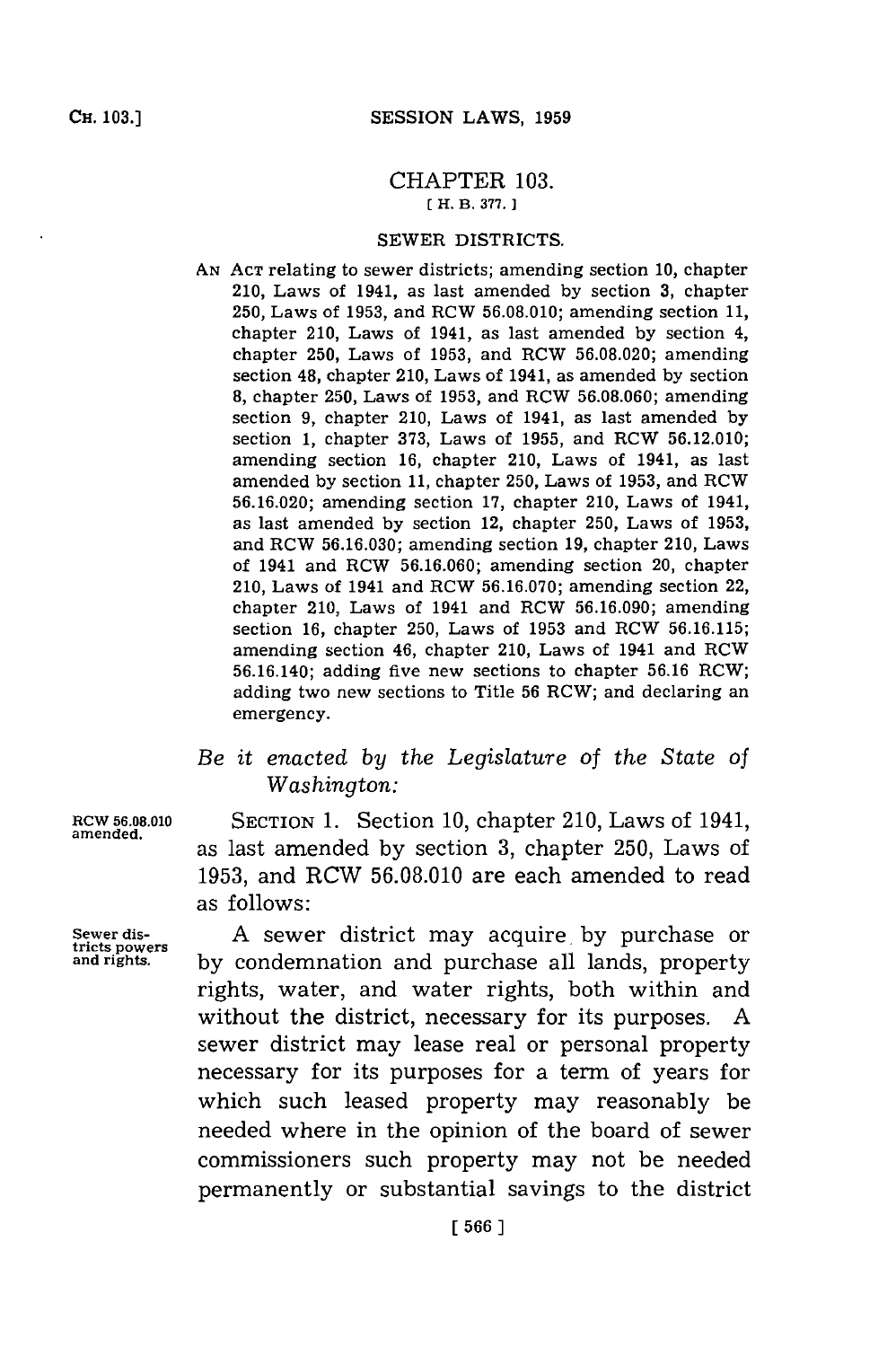## CHAPTER **103. [H. B. 377. 1**

## SEWER DISTRICTS.

- **AN ACT** relating to sewer districts; amending section **10,** chapter 210, Laws of 1941, as last amended **by** section **3,** chapter **250,** Laws of **1953,** and RCW **56.08.010;** amending section **11,** chapter 210, Laws of 1941, as last amended **by** section 4, chapter **250,** Laws of **1953,** and RCW **56.08.020;** amending section 48, chapter 210, Laws of 1941, as amended **by** section **8,** chapter **250,** Laws of **1953,** and RCW **56.08.060;** amending section **9,** chapter 210, Laws of 1941, as last amended **by** section **1,** chapter **373,** Laws of **1955,** and RCW **56.12.010;** amending section **16,** chapter 210, Laws of 1941, as last amended **by** section **11,** chapter **250,** Laws of **1953,** and RCW **56.16.020;** amending section **17,** chapter 210, Laws of 1941, as last amended **by** section 12, chapter **250,** Laws of **1953,** and RCW **56.16.030;** amending section **19,** chapter 210, Laws of 1941 and ROW **56.16.060;** amending section 20, chapter 210, Laws of 1941 and ROW **56.16.070;** amending section 22, chapter 210, Laws of 1941 and ROW **56.16.090;** amending section 16, chapter **250,** Laws of **1953** and RCW **56.16.115;** amending section 46, chapter 210, Laws of 1941 and ROW **56.16.140;** adding five new sections to chapter **56.16** ROW; adding two new sections to Title **56** ROW; and declaring an emergency.
- *Be it enacted by the Legislature of the State of Washington:*

**ROW 56.08.010** SECTION **1.** Section **10,** chapter 210, Laws of 1941, amened. as last amended **by** section **3,** chapter **250,** Laws of **1953,** and RCW **56.08.010** are each amended to read as follows:

**tricts powers**

**Sewer dis- A** sewer district may acquire. **by** purchase or **and rights, by** condemnation and purchase all lands, property rights, water, and water rights, both within and without the district, necessary for its purposes. **A** sewer district may lease real or personal property necessary for its purposes for a term of years for which such leased property may reasonably be needed where in the opinion of the board of sewer commissioners such property may not be needed permanently or substantial savings to the district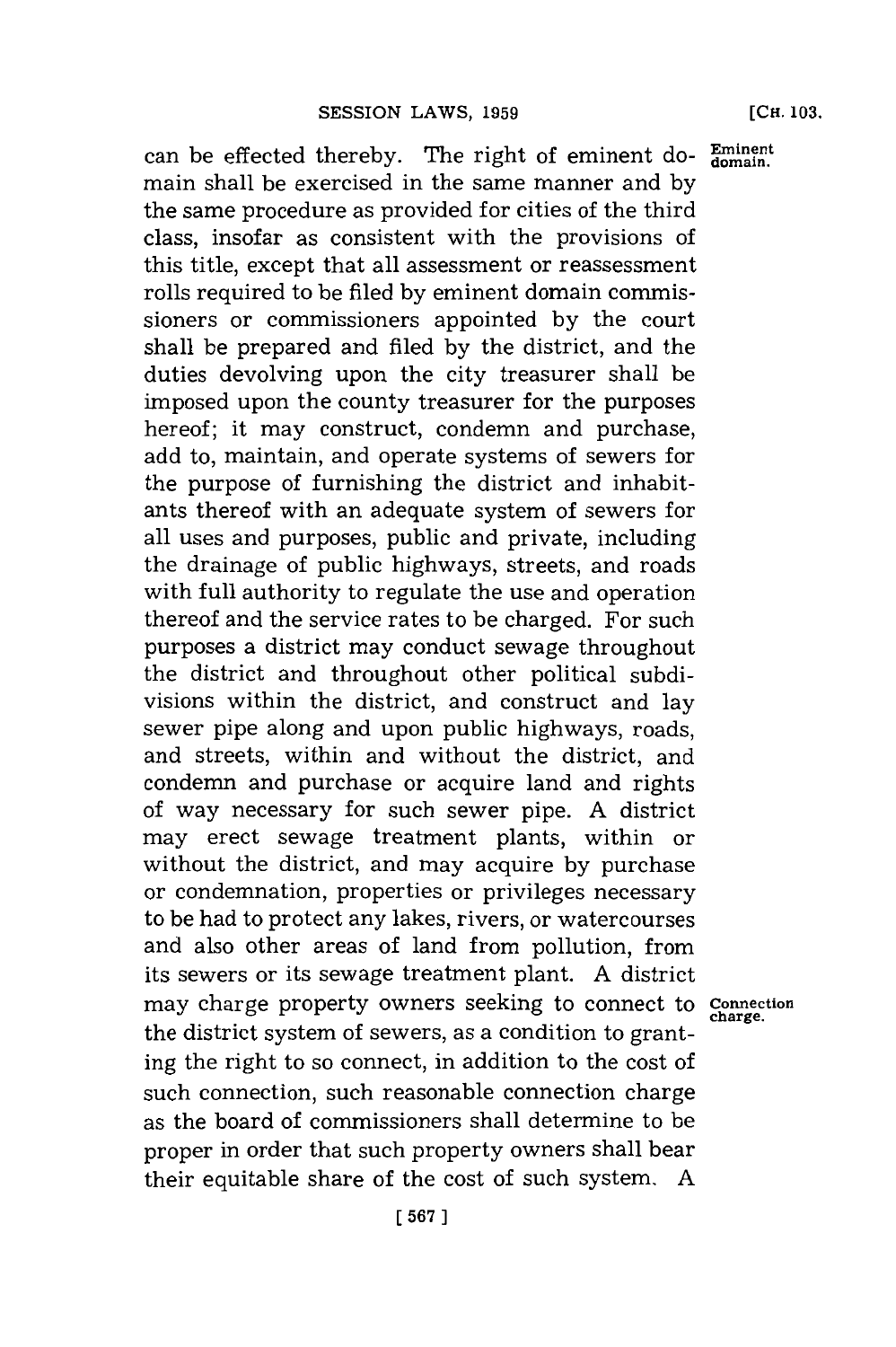can be effected thereby. The right of eminent do- $_{domain.}^{Eminent}$ main shall be exercised in the same manner and **by** the same procedure as provided for cities of the third class, insofar as consistent with the provisions of this title, except that all assessment or reassessment rolls required to be filed **by** eminent domain commissioners or commissioners appointed **by** the court shall be prepared and filed **by** the district, and the duties devolving upon the city treasurer shall be imposed upon the county treasurer for the purposes hereof; it may construct, condemn and purchase, add to, maintain, and operate systems of sewers for the purpose of furnishing the district and inhabitants thereof with an adequate system of sewers for all uses and purposes, public and private, including the drainage of public highways, streets, and roads with full authority to regulate the use and operation thereof and the service rates to be charged. For such purposes a district may conduct sewage throughout the district and throughout other political subdivisions within the district, and construct and lay sewer pipe along and upon public highways, roads, and streets, within and without the district, and condemn and purchase or acquire land and rights of way necessary for such sewer pipe. **A** district may erect sewage treatment plants, within or without the district, and may acquire **by** purchase or condemnation, properties or privileges necessary to be had to protect any lakes, rivers, or watercourses and also other areas of land from pollution, from its sewers or its sewage treatment plant. **A** district may charge property owners seeking to connect to **Connection** the district system of sewers, as a condition to granting the right to so connect, in addition to the cost of such connection, such reasonable connection charge as the board of commissioners shall determine to be proper in order that such property owners shall bear their equitable share of the cost of such system. **A**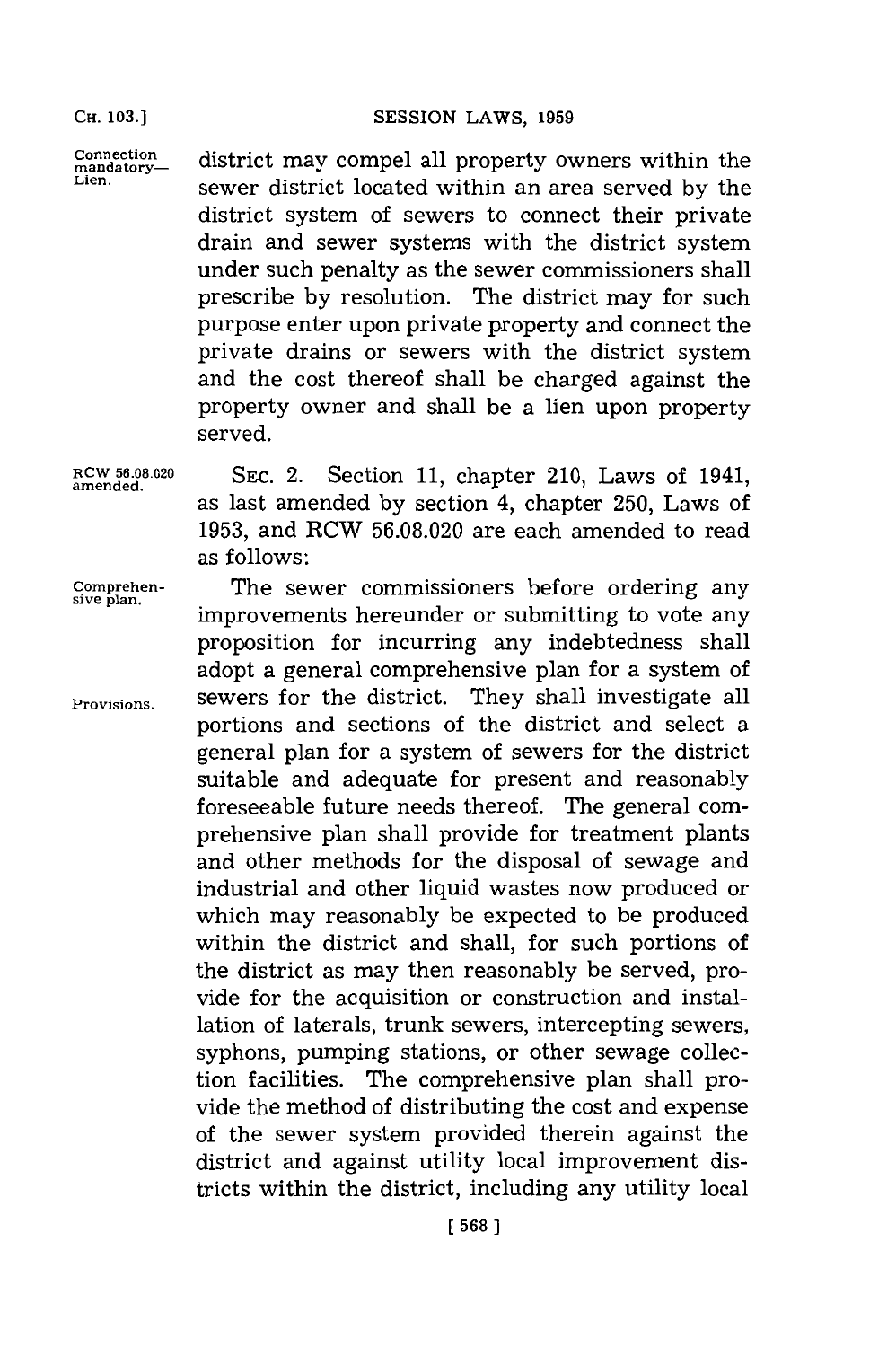**CH. 103.1**

Connection **district may compel all property owners within the** Lien. sewer district located within an area served **by** the district system of sewers to connect their private drain and sewer systems with the district system under such penalty as the sewer commissioners shall prescribe **by** resolution. The district may for such purpose enter upon private property and connect the private drains or sewers with the district system and the cost thereof shall be charged against the property owner and shall be a lien upon property served.

RCW 56.08.020 **SEC. 2.** Section 11, chapter 210, Laws of 1941, amended. as last amended **by** section 4, chapter **250,** Laws of **1953,** and RCW **56.08.020** are each amended to read as follows:

**Comprehen-** The sewer commissioners before ordering any improvements hereunder or submitting to vote any proposition for incurring any indebtedness shall adopt a general comprehensive plan for a system of **Provisions,** sewers for the district. They shall investigate all portions and sections of the district and select a general plan for a system of sewers for the district suitable and adequate for present and reasonably foreseeable future needs thereof. The general comprehensive plan shall provide for treatment plants and other methods for the disposal of sewage and industrial and other liquid wastes now produced or which may reasonably be expected to be produced within the district and shall, for such portions of the district as may then reasonably be served, provide for the acquisition or construction and installation of laterals, trunk sewers, intercepting sewers, syphons, pumping stations, or other sewage collection facilities. The comprehensive plan shall provide the method of distributing the cost and expense of the sewer system provided therein against the district and against utility local improvement districts within the district, including any utility local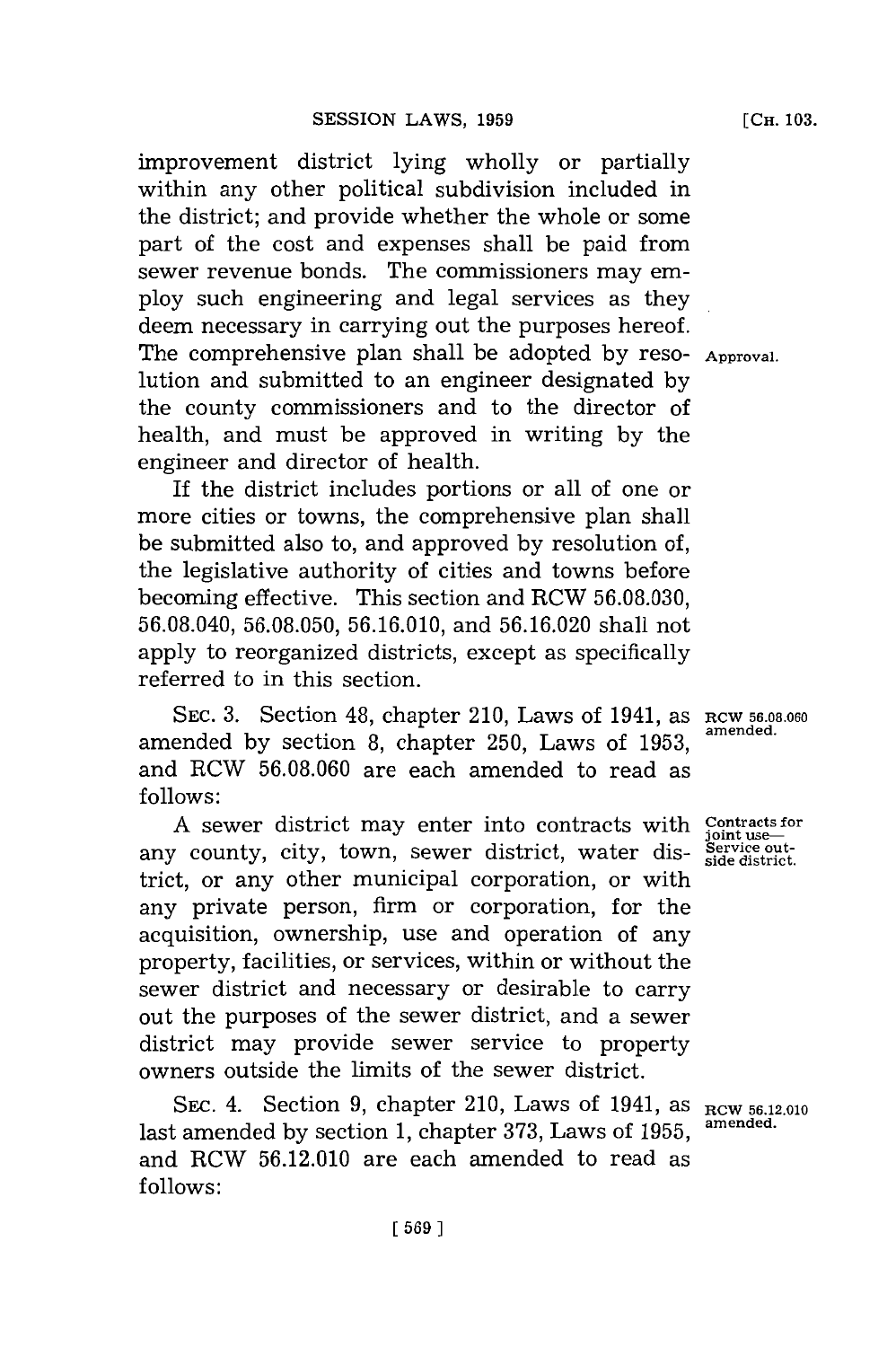improvement district lying wholly or partially within any other political subdivision included in the district; and provide whether the whole or some part of the cost and expenses shall be paid from sewer revenue bonds. The commissioners may employ such engineering and legal services as they deem necessary in carrying out the purposes hereof. The comprehensive plan shall be adopted **by** reso- **Approval.** lution and submitted to an engineer designated **by** the county commissioners and to the director of health, and must be approved in writing **by** the engineer and director of health.

If the district includes portions or all of one or more cities or towns, the comprehensive plan shall be submitted also to, and approved **by** resolution of, the legislative authority of cities and towns before becoming effective. This section and RCW **56.08.030, 56.08.040, 56.08.050, 56.16.010,** and **56.16.020** shall not apply to reorganized districts, except as specifically referred to in this section.

SEC. 3. Section 48, chapter 210, Laws of 1941, as RCW 56.08.060 amended **by** section **8,** chapter **250,** Laws of **1953,** and RCW **56.08.060** are each amended to read as **follows:**

A sewer district may enter into contracts with Contracts for any county, city, town, sewer district, water district, or any other municipal corporation, or with any private person, firm or corporation, for the acquisition, ownership, use and operation of any property, facilities, or services, within or without the sewer district and necessary or desirable to carry out the purposes of the sewer district, and a sewer district may provide sewer service to property owners outside the limits of the sewer district.

SEC. 4. Section 9, chapter 210, Laws of 1941, as  $_{\text{RCW 56.12.010}}$ last amended **by** section **1,** chapter **373,** Laws of **1955,** and RCW **56.12.010** are each amended to read as **follows:**

**amended.**

**joint use- Service out-side district.**

**amended.**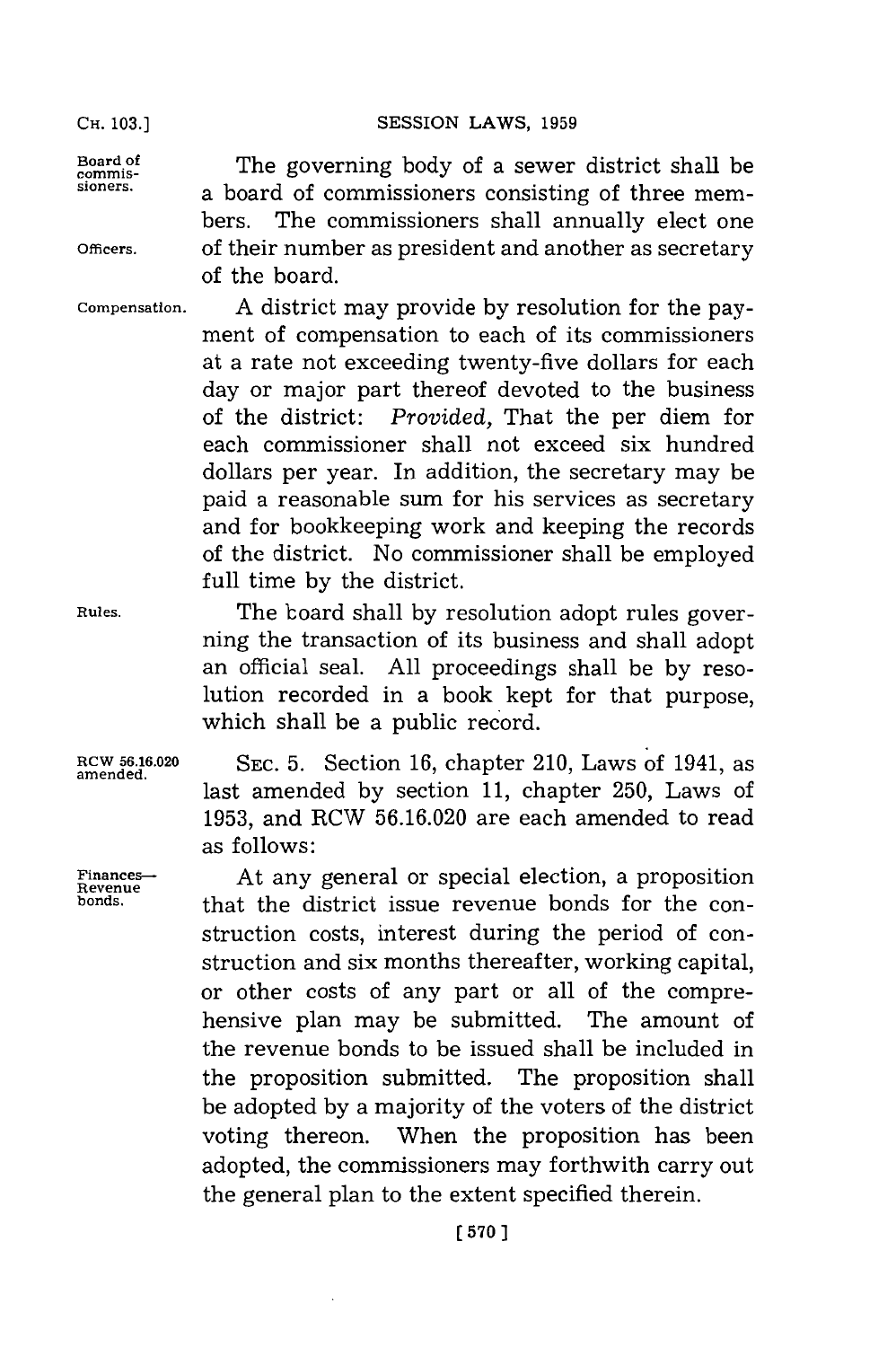**Board of commissioners.**

**Officers.**

The governing body of a sewer district shall be a board of commissioners consisting of three members. The commissioners shall annually elect one of their number as president and another as secretary of the board.

**Compensation. A** district may provide **by** resolution for the payment of compensation to each of its commissioners at a rate not exceeding twenty-five dollars for each day or major part thereof devoted to the business of the district: *Provided,* That the per diem for each commissioner shall not exceed six hundred dollars per year. In addition, the secretary may be paid a reasonable sum for his services as secretary and for bookkeeping work and keeping the records of the district. No commissioner shall be employed full time **by** the district.

> The board shall **by** resolution adopt rules governing the transaction of its business and shall adopt an official seal. **All** proceedings shall be **by** resolution recorded in a book kept for that purpose, which shall be a public record.

**RCW 56.16.020** SEC. **5.** Section **16,** chapter 210, Laws of 1941, as **amended.** last amended **by** section **11,** chapter **250,** Laws of **1953,** and RCW **56.16.020** are each amended to read as follows:

Finances—**-** At any general or special election, a proposition **Revenue**<br> **Revenue**<br> **Revenue Revenue Representation Revenue Representation Representation bonds.** that the district issue revenue bonds for the construction costs, interest during the period of construction and six months thereafter, working capital, or other costs of any part or all of the comprehensive plan may be submitted. The amount of the revenue bonds to be issued shall be included in the proposition submitted. The proposition shall be adopted **by** a majority of the voters of the district voting thereon. When the proposition has been adopted, the commissioners may forthwith carry out the general plan to the extent specified therein.

**Rules.**

SESSION LAWS, 1959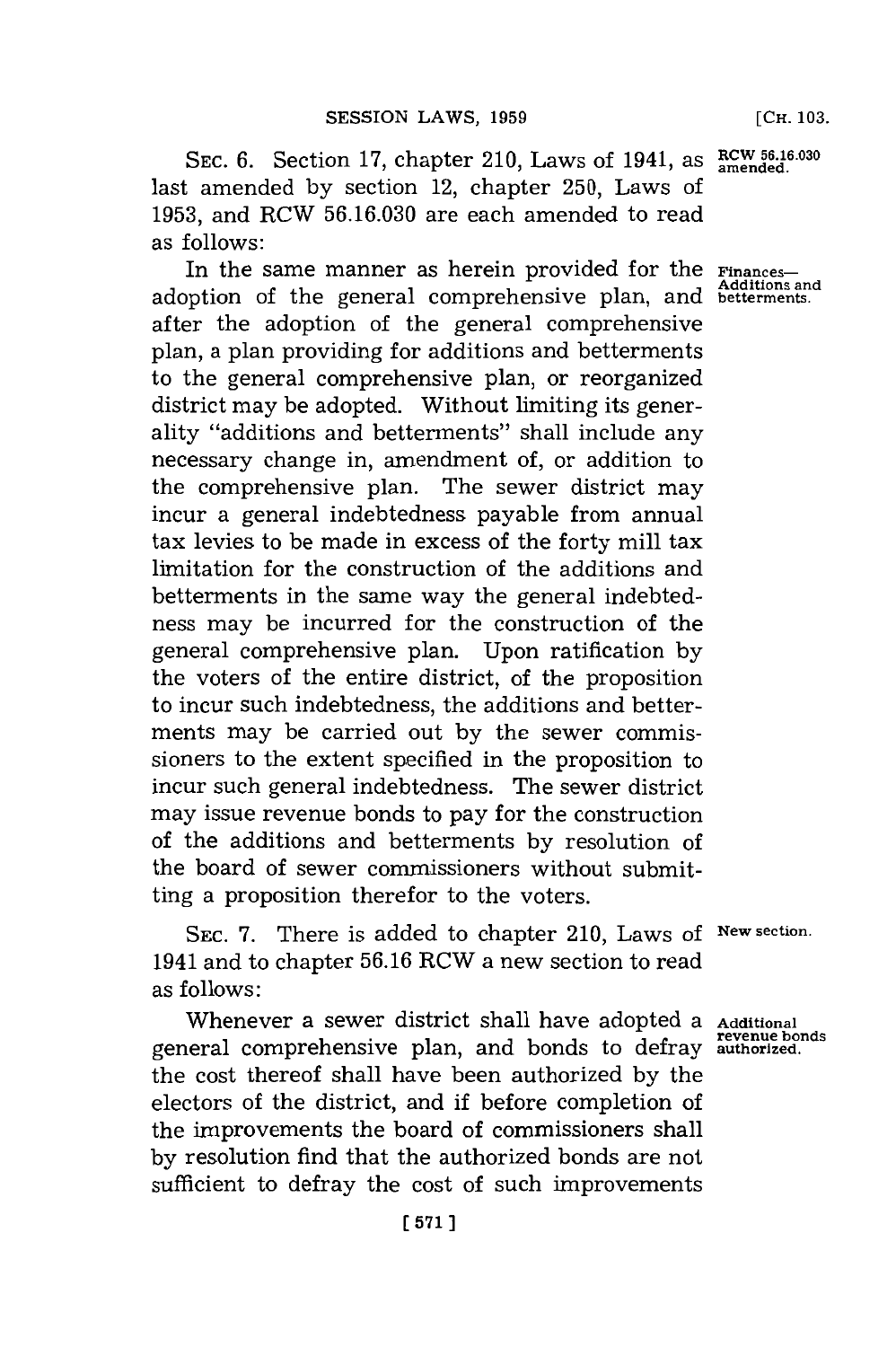SEC. 6. Section 17, chapter 210, Laws of 1941, as **RCW 56.16.030** last amended **by** section 12, chapter **250,** Laws of **1953,** and RCW **56.16.030** are each amended to read as follows:

In the same manner as herein provided for the **Finances-Additions and** adoption of the general comprehensive plan, and **betterments.** after the adoption of the general comprehensive plan, a plan providing for additions and betterments to the general comprehensive plan, or reorganized district may be adopted. Without limiting its generality "additions and betterments" shall include any necessary change in, amendment of, or addition to the comprehensive plan. The sewer district may incur a general indebtedness payable from annual tax levies to be made in excess of the forty mill tax limitation for the construction of the additions and betterments in the same way the general indebtedness may be incurred for the construction of the general comprehensive plan. Upon ratification **by** the voters of the entire district, of the proposition to incur such indebtedness, the additions and betterments may be carried out **by** the sewer commissioners to the extent specified in the proposition to incur such general indebtedness. The sewer district may issue revenue bonds to pay for the construction of the additions and betterments **by** resolution of the board of sewer commissioners without submitting a proposition therefor to the voters.

**SEC. 7.** There is added to chapter 210, Laws **of New section.** 1941 and to chapter **56.16** RCW a new section to read as follows:

Whenever a sewer district shall have adopted a Additional **revenue bonds** general comprehensive plan, and bonds to defray **authorized.** the cost thereof shall have been authorized **by** the electors of the district, and if before completion of the improvements the board of commissioners shall **by** resolution find that the authorized bonds are not sufficient to defray the cost of such improvements

**[ 571]**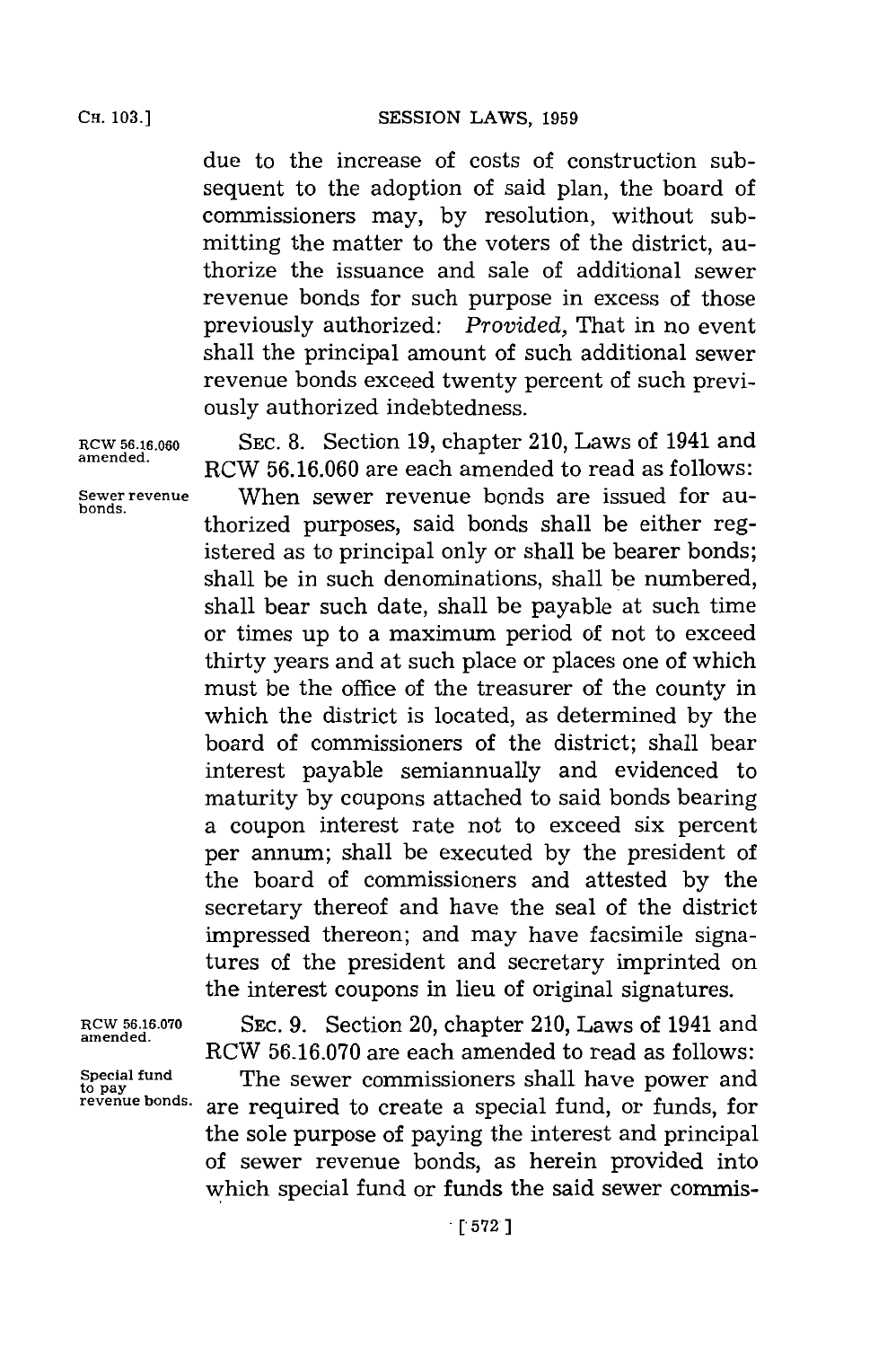SESSION LAWS, 1959

due to the increase of costs of construction subsequent to the adoption of said plan, the board of commissioners may, **by** resolution, without submitting the matter to the voters of the district, authorize the issuance and sale of additional sewer revenue bonds for such purpose in excess of those previously authorized: *Provided,* That in no event shall the principal amount of such additional sewer revenue bonds exceed twenty percent of such previously authorized indebtedness.

**bonds.**

**RCW 56.16.060 SEC. 8.** Section **19,** chapter 210, Laws of 1941 and RCW 56.16.060 are each amended to read as follows: **Sewer revenue** When sewer revenue bonds are issued for authorized purposes, said bonds shall be either registered as to principal only or shall be bearer bonds; shall be in such denominations, shall be numbered, shall bear such date, shall be payable at such time or times up to a maximum period of not to exceed thirty years and at such place or places one of which must be the office of the treasurer of the county in which the district is located, as determined **by** the board of commissioners of the district; shall bear interest payable semiannually and evidenced to maturity **by** coupons attached to said bonds bearing a coupon interest rate not to exceed six percent per annum; shall be executed **by** the president of the board of commissioners and attested **by** the secretary thereof and have the seal of the district impressed thereon; and may have facsimile signatures of the president and secretary imprinted on the interest coupons in lieu of original signatures.

RCW 56.16.070 SEC. 9. Section 20, chapter 210, Laws of 1941 and amended. RCW 56.16.070 are each amended to read as follows:

Special fund The sewer commissioners shall have power and to pay a sexual fund and fund state of the sexual fund state of the sexual fund state of the sexual fund state of the sexual fund state of the sexual fund state of are required to create a special fund, or funds, for the sole purpose of paying the interest and principal of sewer revenue bonds, as herein provided into which special fund or funds the said sewer commis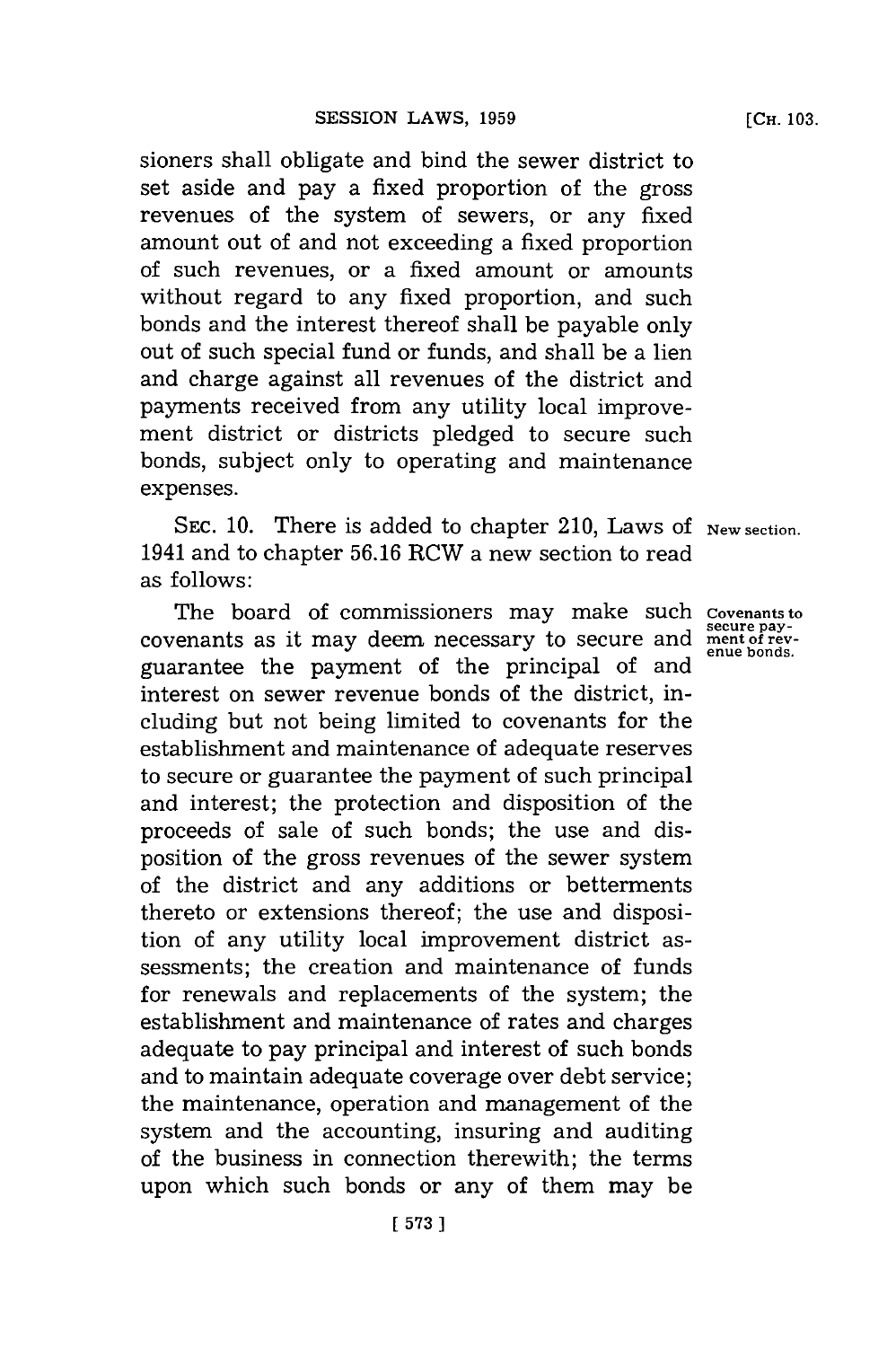sioners shall obligate and bind the sewer district to set aside and pay a fixed proportion of the gross revenues of the system of sewers, or any fixed amount out of and not exceeding a fixed proportion of such revenues, or a fixed amount or amounts without regard to any fixed proportion, and such bonds and the interest thereof shall be payable only out of such special fund or funds, and shall be a lien and charge against all revenues of the district and payments received from any utility local improvement district or districts pledged to secure such bonds, subject only to operating and maintenance expenses.

SEC. 10. There is added to chapter 210, Laws of New section. 1941 and to chapter **56.16** RCW a new section to read as follows:

The board of commissioners may make such **Covenants to secure pay**covenants as it may deem necessary to secure and **ment of rev**guarantee the payment of the principal of and interest on sewer revenue bonds of the district, including but not being limited to covenants for the establishment and maintenance of adequate reserves to secure or guarantee the payment of such principal and interest; the protection and disposition of the proceeds of sale of such bonds; the use and disposition of the gross revenues of the sewer system of the district and any additions or betterments thereto or extensions thereof; the use and disposition of any utility local improvement district assessments; the creation and maintenance of funds for renewals and replacements of the system; the establishment and maintenance of rates and charges adequate to pay principal and interest of such bonds and to maintain adequate coverage over debt service; the maintenance, operation and management of the system and the accounting, insuring and auditing of the business in connection therewith; the terms upon which such bonds or any of them may be

**[CH. 103.**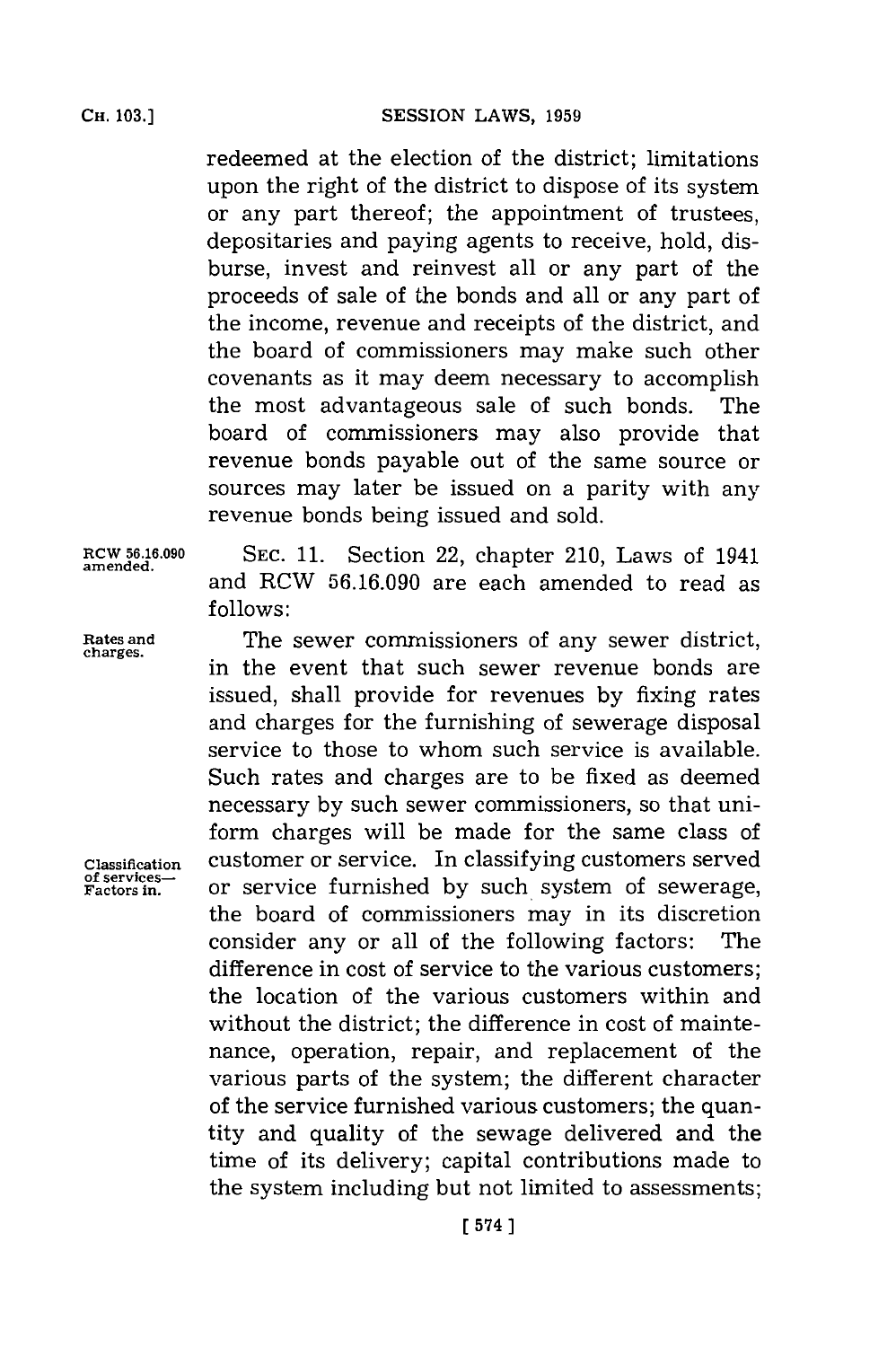redeemed at the election of the district; limitations upon the right of the district to dispose of its system or any part thereof; the appointment of trustees, depositaries and paying agents to receive, hold, disburse, invest and reinvest all or any part of the proceeds of sale of the bonds and all or any part of the income, revenue and receipts of the district, and the board of commissioners may make such other covenants as it may deem necessary to accomplish the most advantageous sale of such bonds. The board of commissioners may also provide that revenue bonds payable out of the same source or sources may later be issued on a parity with any revenue bonds being issued and sold.

**amended.**

**RCW 56.16.090 SEC. 11.** Section 22, chapter 210, Laws of 1941 and RCW **56.16.090** are each amended to read as **f ollows:**

**Rates and** The sewer commissioners of any sewer district, in the event that such sewer revenue bonds are issued, shall provide for revenues **by** fixing rates and charges for the furnishing of sewerage disposal service to those to whom such service is available. Such rates and charges are to be fixed as deemed necessary **by** such sewer commissioners, so that uniform charges will be made for the same class of **Classification** customer or service. In classifying customers served **Factors in.** or service furnished **by** such system of sewerage, the board of commissioners may in its discretion consider any or all of the following factors: The difference in cost of service to the various customers; the location of the various customers within and without the district; the difference in cost of maintenance, operation, repair, and replacement of the various parts of the system; the different character of the service furnished various customers; the quantity and quality of the sewage delivered and the time of its delivery; capital contributions made to the system including but not limited to assessments;

**of services-**

**[ 574]1**

**CH. 103.]**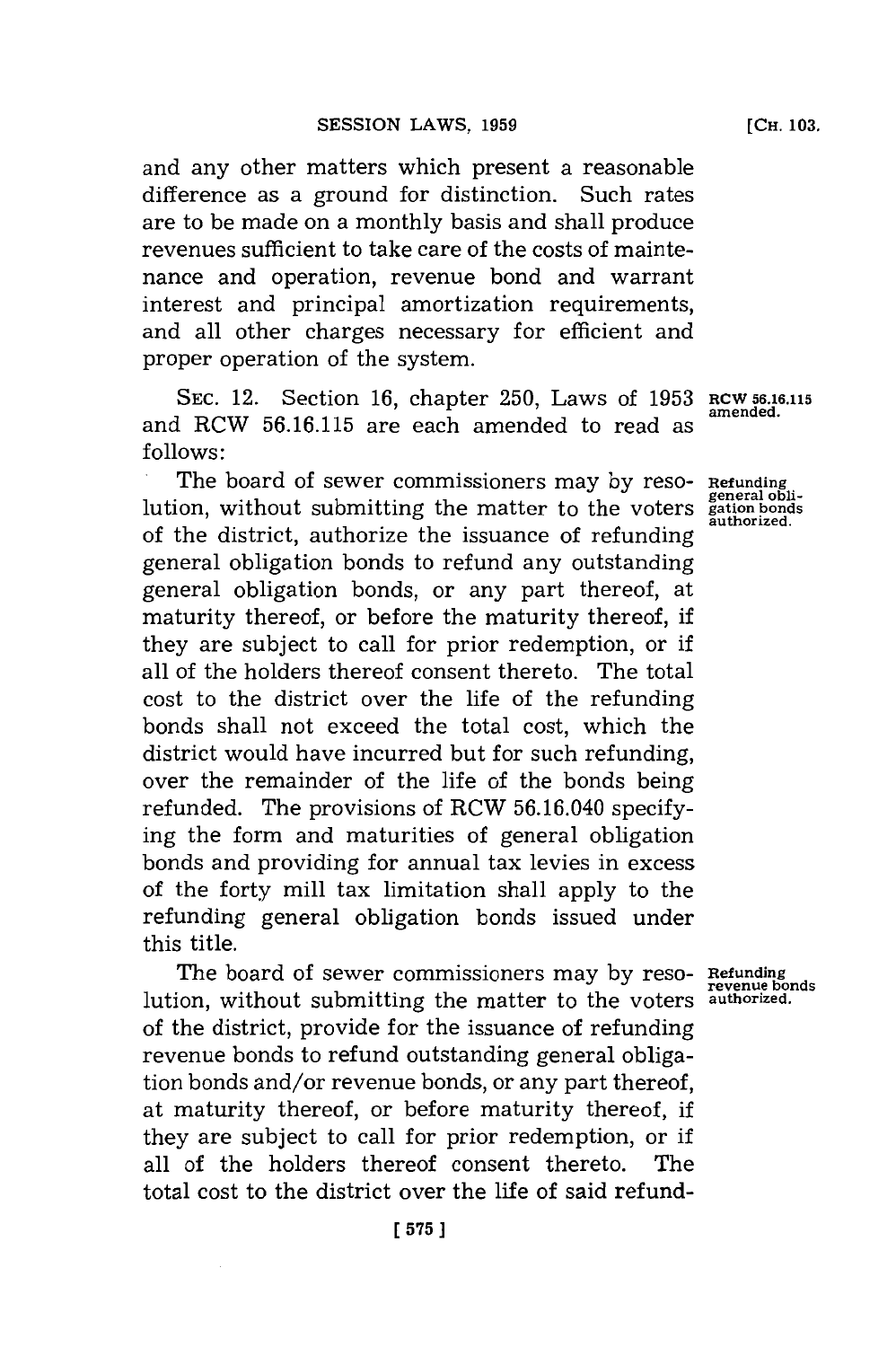and any other matters which present a reasonable difference as a ground for distinction. Such rates are to be made on a monthly basis and shall produce revenues sufficient to take care of the costs of maintenance and operation, revenue bond and warrant interest and principal amortization requirements, and all other charges necessary for efficient and proper operation of the system.

**SEC.** 12. Section **16,** chapter **250,** Laws of **1953 RCW 56.16.115 amended.** and RCW **56.16.115** are each amended to read as **follows:**

The board of sewer commissioners may **by** resolution, without submitting the matter to the voters of the district, authorize the issuance of refunding general obligation bonds to refund any outstanding general obligation bonds, or any part thereof, at maturity thereof, or before the maturity thereof, if they are subject to call for prior redemption, or if all of the holders thereof consent thereto. The total cost to the district over the life of the refunding bonds shall not exceed the total cost, which the district would have incurred but for such refunding, over the remainder of the life of the bonds being refunded. The provisions of RCW **56.16.040** specifying the form and maturities of general obligation bonds and providing for annual tax levies in excess of the forty mill tax limitation shall apply to the refunding general obligation bonds issued under this title.

The board of sewer commissioners may by reso- Refunding<br> **revenue bonds**<br> **revenue bonds**<br> **revenue bonds**<br> **authorized.** lution, without submitting the matter to the voters of the district, provide for the issuance of refunding revenue bonds to refund outstanding general obligation bonds and/or revenue bonds, or any part thereof, at maturity thereof, or before maturity thereof, if they are subject to call for prior redemption, or if all of the holders thereof consent thereto. The total cost to the district over the life of said refund-

**Refunding general obli-gation bonds authorized.**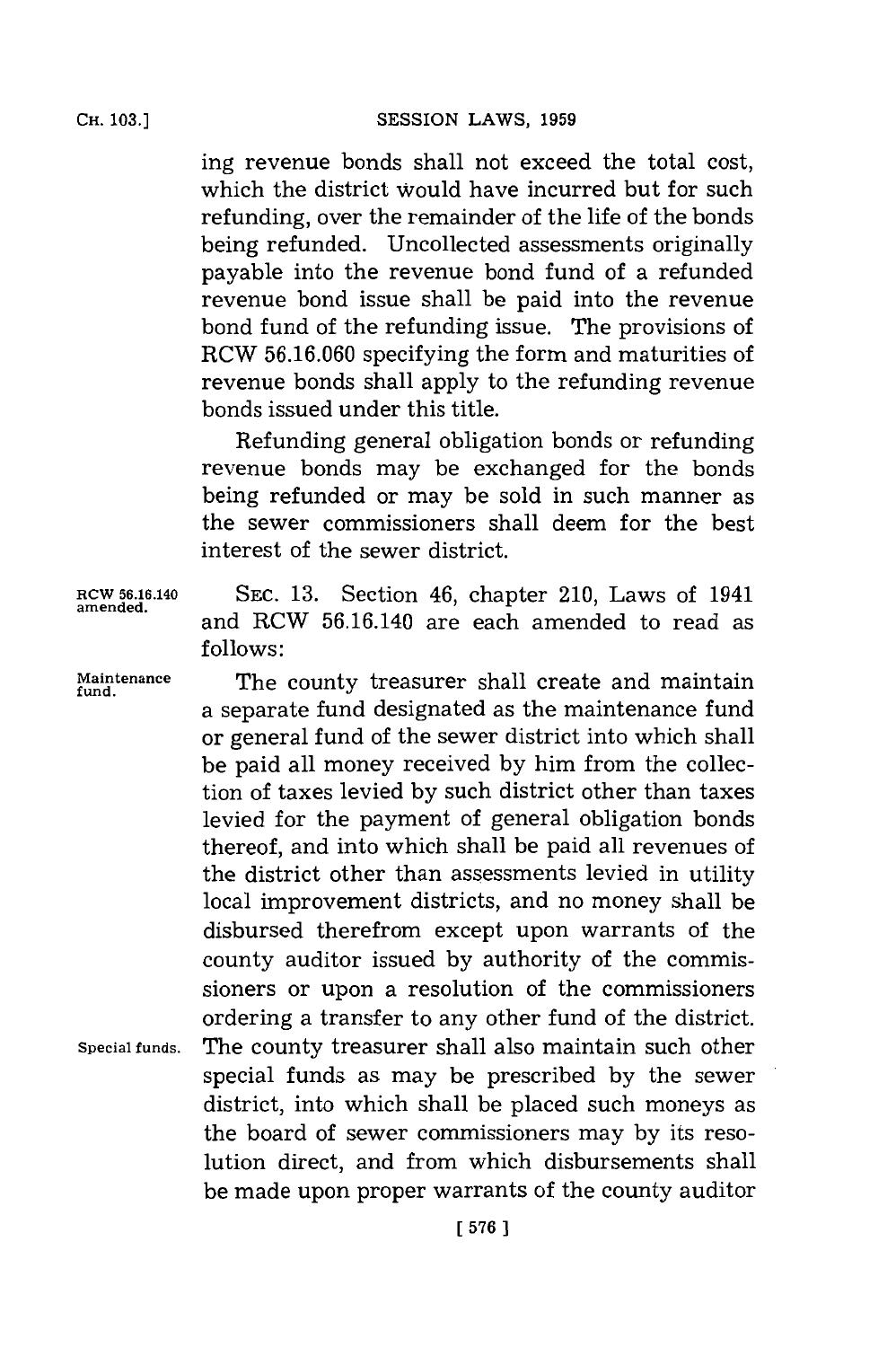ing revenue bonds shall not exceed the total cost, which the district Would have incurred but for such refunding, over the remainder of the life of the bonds being refunded. Uncollected assessments originally payable into the revenue bond fund of a refunded revenue bond issue shall be paid into the revenue bond fund of the refunding issue. The provisions of RCW **56.16.060** specifying the form and maturities of revenue bonds shall apply to the refunding revenue bonds issued under this title.

Refunding general obligation bonds or refunding revenue bonds may be exchanged for the bonds being refunded or may be sold in such manner as the sewer commissioners shall deem for the best interest of the sewer district.

**RCW 56.16.140 SEC. 13.** Section 46, chapter 210, Laws of 1941 and RCW **56.16.140** are each amended to read as **follows:**

Maintenance **The county treasurer shall create and maintain** a separate fund designated as the maintenance fund or general fund of the sewer district into which shall be paid all money received **by** him from the collection of taxes levied **by** such district other than taxes levied for the payment of general obligation bonds thereof, and into which shall be paid all revenues of the district other than assessments levied in utility local improvement districts, and no money shall be disbursed therefrom except upon warrants of the county auditor issued **by** authority of the commissioners or upon a resolution of the commissioners ordering a transfer to any other fund of the district. **Special funds.** The county treasurer shall also maintain such other special funds as may be prescribed **by** the sewer district, into which shall be placed such moneys as the board of sewer commissioners may **by** its resolution direct, and from which disbursements shall be made upon proper warrants of the county auditor

**amended.**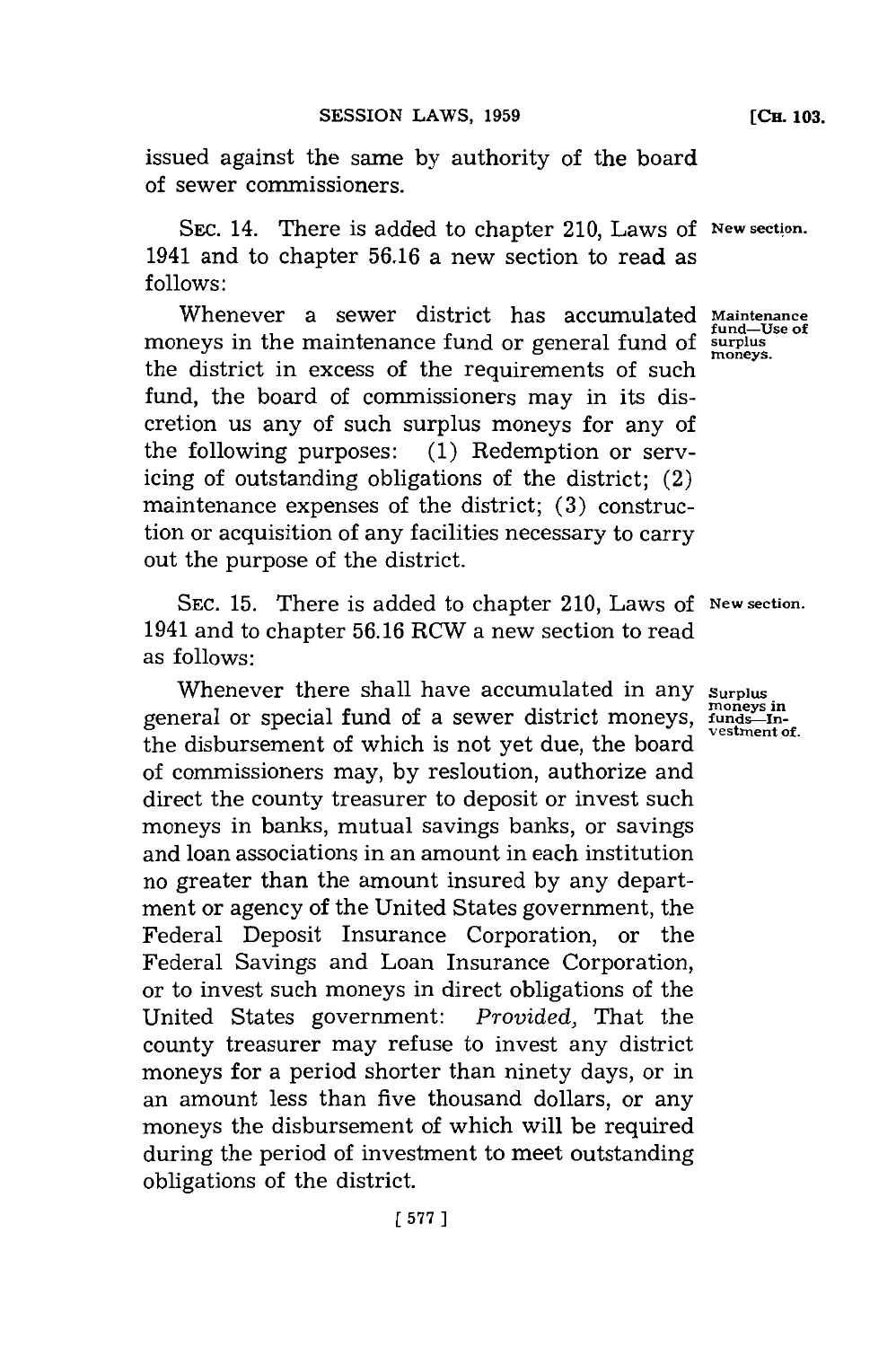issued against the same **by** authority of the board of sewer commissioners.

SEc. 14. There is added to chapter 210, Laws **of New section.** 1941 and to chapter **56.16** a new section to read as **follows:**

Whenever a sewer district has accumulated **Maintenance** moneys in the maintenance fund or general fund of **surplus** the district in excess of the requirements of such fund, the board of commissioners may in its discretion us any of such surplus moneys for any of the following purposes: **(1)** Redemption or servicing of outstanding obligations of the district; (2) maintenance expenses of the district; **(3)** construction or acquisition of any facilities necessary to carry out the purpose of the district.

**SEC. 15.** There is added to chapter 210, Laws of **New section.** 1941 and to chapter **56.16** RCW a new section to read as follows:

Whenever there shall have accumulated in any surplus. general or special fund of a sewer district moneys, funds-Inthe disbursement of which is not yet due, the board of commissioners may, **by** resloution, authorize and direct the county treasurer to deposit or invest such moneys in banks, mutual savings banks, or savings and loan associations in an amount in each institution no greater than the amount insured **by** any department or agency of the United States government, the Federal Deposit Insurance Corporation, or the Federal Savings and Loan Insurance Corporation, or to invest such moneys in direct obligations of the<br>United States government: Provided, That the United States government: county treasurer may refuse to invest any district moneys for a period shorter than ninety days, or in an amount less than five thousand dollars, or any moneys the disbursement of which will be required during the period of investment to meet outstanding obligations of the district.

**fund-Use of**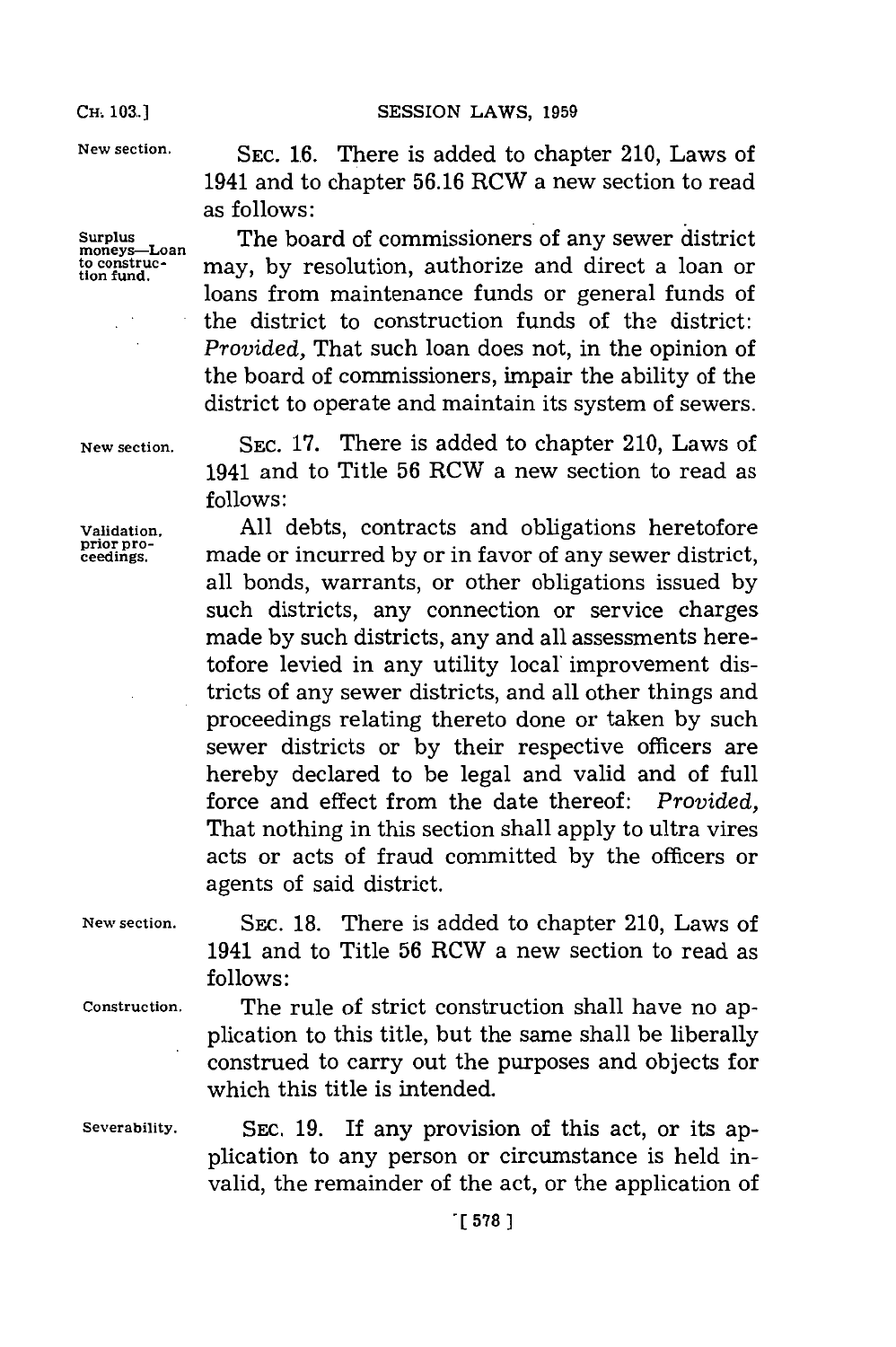**CH.. 103.] SESSION** LAWS, **1959**

**moneys-Loan**

New section. SEC. 16. There is added to chapter 210, Laws of 1941 and to chapter **56.16** RCW a new section to read as follows:

**Surplus** The board of commissioners of any sewer district moneys—Loan<br>to construc- may, by resolution, authorize and direct a loan or loans from maintenance funds or general funds of the district to construction funds of the district: *Provided,* That such loan does not, in the opinion of the board of commissioners, impair the ability of the district to operate and maintain its system of sewers.

**New section. SEC. 17.** There is added to chapter 210, Laws of 1941 and to Title **56** ROW a new section to read as **follows:**

**Validation. All** debts, contracts and obligations heretofore cedns made or incurred **by** or in favor of any sewer district, all bonds, warrants, or other obligations issued **by** such districts, any connection or service charges made **by** such districts, any and all assessments heretofore levied in any utility local' improvement districts of any sewer districts, and all other things and proceedings relating thereto done or taken **by** such sewer districts or **by** their respective officers are hereby declared to be legal and valid and of full force and effect from the date thereof: *Provided,* That nothing in this section shall apply to ultra vires acts or acts of fraud committed **by** the officers or agents of said district.

**New section.** SEC. **18.** There is added to chapter 210, Laws of 1941 and to Title **56** ROW a new section to read as **follows:**

**Construction.** The rule of strict construction shall have no application to this title, but the same shall be liberally construed to carry out the purposes and objects for which this title is intended.

**Severability.** SEC. **19.** If any provision of this act, or its application to any person or circumstance is held invalid, the remainder of the act, or the application of